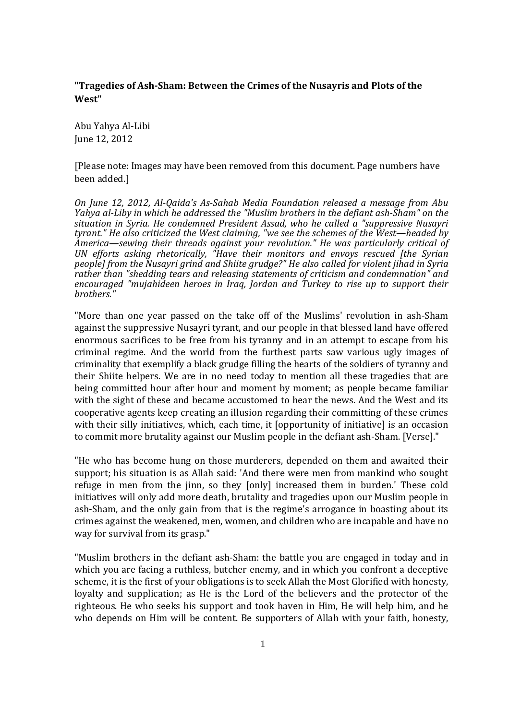## **"Tragedies of Ash-Sham: Between the Crimes of the Nusayris and Plots of the West"**

Abu Yahya Al-Libi June 12, 2012

[Please note: Images may have been removed from this document. Page numbers have been added.]

*On June 12, 2012, Al-Qaida's As-Sahab Media Foundation released a message from Abu Yahya al-Liby in which he addressed the "Muslim brothers in the defiant ash-Sham" on the situation in Syria. He condemned President Assad, who he called a "suppressive Nusayri tyrant." He also criticized the West claiming, "we see the schemes of the West—headed by America—sewing their threads against your revolution." He was particularly critical of UN efforts asking rhetorically, "Have their monitors and envoys rescued [the Syrian people] from the Nusayri grind and Shiite grudge?" He also called for violent jihad in Syria rather than "shedding tears and releasing statements of criticism and condemnation" and encouraged "mujahideen heroes in Iraq, Jordan and Turkey to rise up to support their brothers."*

"More than one year passed on the take off of the Muslims' revolution in ash-Sham against the suppressive Nusayri tyrant, and our people in that blessed land have offered enormous sacrifices to be free from his tyranny and in an attempt to escape from his criminal regime. And the world from the furthest parts saw various ugly images of criminality that exemplify a black grudge filling the hearts of the soldiers of tyranny and their Shiite helpers. We are in no need today to mention all these tragedies that are being committed hour after hour and moment by moment; as people became familiar with the sight of these and became accustomed to hear the news. And the West and its cooperative agents keep creating an illusion regarding their committing of these crimes with their silly initiatives, which, each time, it [opportunity of initiative] is an occasion to commit more brutality against our Muslim people in the defiant ash-Sham. [Verse]."

"He who has become hung on those murderers, depended on them and awaited their support; his situation is as Allah said: 'And there were men from mankind who sought refuge in men from the jinn, so they [only] increased them in burden.' These cold initiatives will only add more death, brutality and tragedies upon our Muslim people in ash-Sham, and the only gain from that is the regime's arrogance in boasting about its crimes against the weakened, men, women, and children who are incapable and have no way for survival from its grasp."

"Muslim brothers in the defiant ash-Sham: the battle you are engaged in today and in which you are facing a ruthless, butcher enemy, and in which you confront a deceptive scheme, it is the first of your obligations is to seek Allah the Most Glorified with honesty, loyalty and supplication; as He is the Lord of the believers and the protector of the righteous. He who seeks his support and took haven in Him, He will help him, and he who depends on Him will be content. Be supporters of Allah with your faith, honesty,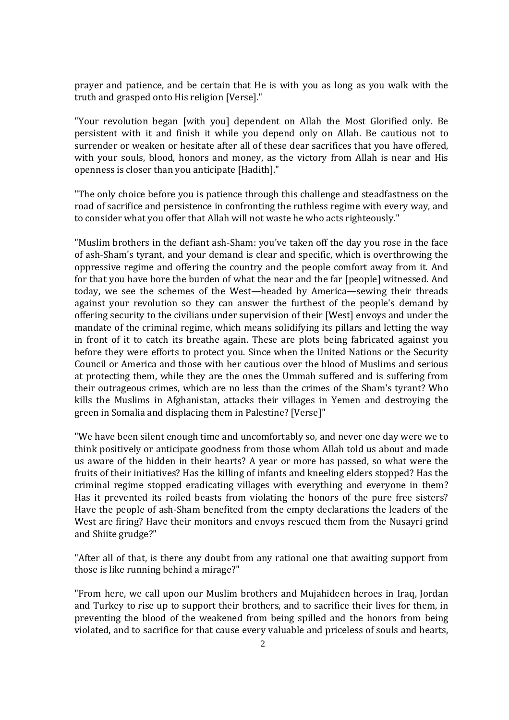prayer and patience, and be certain that He is with you as long as you walk with the truth and grasped onto His religion [Verse]."

"Your revolution began [with you] dependent on Allah the Most Glorified only. Be persistent with it and finish it while you depend only on Allah. Be cautious not to surrender or weaken or hesitate after all of these dear sacrifices that you have offered, with your souls, blood, honors and money, as the victory from Allah is near and His openness is closer than you anticipate [Hadith]."

"The only choice before you is patience through this challenge and steadfastness on the road of sacrifice and persistence in confronting the ruthless regime with every way, and to consider what you offer that Allah will not waste he who acts righteously."

"Muslim brothers in the defiant ash-Sham: you've taken off the day you rose in the face of ash-Sham's tyrant, and your demand is clear and specific, which is overthrowing the oppressive regime and offering the country and the people comfort away from it. And for that you have bore the burden of what the near and the far [people] witnessed. And today, we see the schemes of the West—headed by America—sewing their threads against your revolution so they can answer the furthest of the people's demand by offering security to the civilians under supervision of their [West] envoys and under the mandate of the criminal regime, which means solidifying its pillars and letting the way in front of it to catch its breathe again. These are plots being fabricated against you before they were efforts to protect you. Since when the United Nations or the Security Council or America and those with her cautious over the blood of Muslims and serious at protecting them, while they are the ones the Ummah suffered and is suffering from their outrageous crimes, which are no less than the crimes of the Sham's tyrant? Who kills the Muslims in Afghanistan, attacks their villages in Yemen and destroying the green in Somalia and displacing them in Palestine? [Verse]"

"We have been silent enough time and uncomfortably so, and never one day were we to think positively or anticipate goodness from those whom Allah told us about and made us aware of the hidden in their hearts? A year or more has passed, so what were the fruits of their initiatives? Has the killing of infants and kneeling elders stopped? Has the criminal regime stopped eradicating villages with everything and everyone in them? Has it prevented its roiled beasts from violating the honors of the pure free sisters? Have the people of ash-Sham benefited from the empty declarations the leaders of the West are firing? Have their monitors and envoys rescued them from the Nusayri grind and Shiite grudge?"

"After all of that, is there any doubt from any rational one that awaiting support from those is like running behind a mirage?"

"From here, we call upon our Muslim brothers and Mujahideen heroes in Iraq, Jordan and Turkey to rise up to support their brothers, and to sacrifice their lives for them, in preventing the blood of the weakened from being spilled and the honors from being violated, and to sacrifice for that cause every valuable and priceless of souls and hearts,